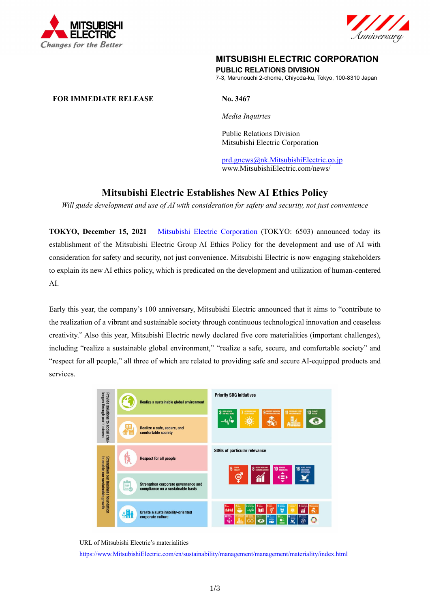



# **MITSUBISHI ELECTRIC CORPORATION**

**PUBLIC RELATIONS DIVISION** 

7-3, Marunouchi 2-chome, Chiyoda-ku, Tokyo, 100-8310 Japan

## **FOR IMMEDIATE RELEASE No. 3467**

*Media Inquiries* 

 Public Relations Division Mitsubishi Electric Corporation

prd.gnews@nk.MitsubishiElectric.co.jp www.MitsubishiElectric.com/news/

# **Mitsubishi Electric Establishes New AI Ethics Policy**

*Will guide development and use of AI with consideration for safety and security, not just convenience* 

**TOKYO, December 15, 2021** – Mitsubishi Electric Corporation (TOKYO: 6503) announced today its establishment of the Mitsubishi Electric Group AI Ethics Policy for the development and use of AI with consideration for safety and security, not just convenience. Mitsubishi Electric is now engaging stakeholders to explain its new AI ethics policy, which is predicated on the development and utilization of human-centered AI.

Early this year, the company's 100 anniversary, Mitsubishi Electric announced that it aims to "contribute to the realization of a vibrant and sustainable society through continuous technological innovation and ceaseless creativity." Also this year, Mitsubishi Electric newly declared five core materialities (important challenges), including "realize a sustainable global environment," "realize a safe, secure, and comfortable society" and "respect for all people," all three of which are related to providing safe and secure AI-equipped products and services.



#### URL of Mitsubishi Electric's materialities

https://www.MitsubishiElectric.com/en/sustainability/management/management/materiality/index.html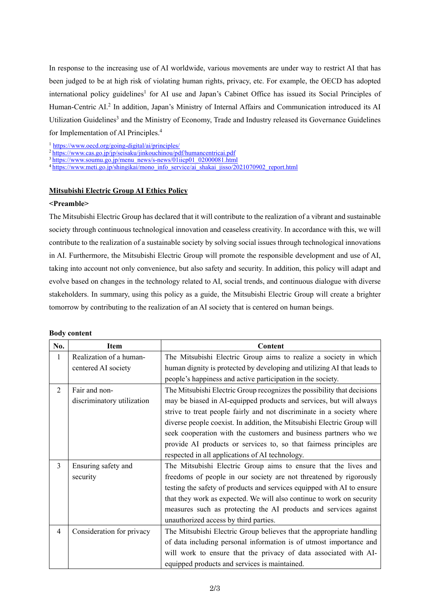In response to the increasing use of AI worldwide, various movements are under way to restrict AI that has been judged to be at high risk of violating human rights, privacy, etc. For example, the OECD has adopted international policy guidelines<sup>1</sup> for AI use and Japan's Cabinet Office has issued its Social Principles of Human-Centric AI.<sup>2</sup> In addition, Japan's Ministry of Internal Affairs and Communication introduced its AI Utilization Guidelines<sup>3</sup> and the Ministry of Economy, Trade and Industry released its Governance Guidelines for Implementation of AI Principles.4

<sup>1</sup>https://www.oecd.org/going-digital/ai/principles/<br>
<sup>2</sup>https://www.cas.go.jp/jp/seisaku/jinkouchinou/pdf/humancentricai.pdf<br>
<sup>3</sup>https://www.soumu.go.jp/menu\_news/s-news/01iicp01\_02000081.html<br>
<sup>4</sup>https://www.meti.go.jp/s

## **Mitsubishi Electric Group AI Ethics Policy**

## **<Preamble>**

The Mitsubishi Electric Group has declared that it will contribute to the realization of a vibrant and sustainable society through continuous technological innovation and ceaseless creativity. In accordance with this, we will contribute to the realization of a sustainable society by solving social issues through technological innovations in AI. Furthermore, the Mitsubishi Electric Group will promote the responsible development and use of AI, taking into account not only convenience, but also safety and security. In addition, this policy will adapt and evolve based on changes in the technology related to AI, social trends, and continuous dialogue with diverse stakeholders. In summary, using this policy as a guide, the Mitsubishi Electric Group will create a brighter tomorrow by contributing to the realization of an AI society that is centered on human beings.

|  | <b>Body content</b> |
|--|---------------------|
|--|---------------------|

| No.            | <b>Item</b>                | Content                                                                 |
|----------------|----------------------------|-------------------------------------------------------------------------|
| $\mathbf{1}$   | Realization of a human-    | The Mitsubishi Electric Group aims to realize a society in which        |
|                | centered AI society        | human dignity is protected by developing and utilizing AI that leads to |
|                |                            | people's happiness and active participation in the society.             |
| $\overline{2}$ | Fair and non-              | The Mitsubishi Electric Group recognizes the possibility that decisions |
|                | discriminatory utilization | may be biased in AI-equipped products and services, but will always     |
|                |                            | strive to treat people fairly and not discriminate in a society where   |
|                |                            | diverse people coexist. In addition, the Mitsubishi Electric Group will |
|                |                            | seek cooperation with the customers and business partners who we        |
|                |                            | provide AI products or services to, so that fairness principles are     |
|                |                            | respected in all applications of AI technology.                         |
| 3              | Ensuring safety and        | The Mitsubishi Electric Group aims to ensure that the lives and         |
|                | security                   | freedoms of people in our society are not threatened by rigorously      |
|                |                            | testing the safety of products and services equipped with AI to ensure  |
|                |                            | that they work as expected. We will also continue to work on security   |
|                |                            | measures such as protecting the AI products and services against        |
|                |                            | unauthorized access by third parties.                                   |
| 4              | Consideration for privacy  | The Mitsubishi Electric Group believes that the appropriate handling    |
|                |                            | of data including personal information is of utmost importance and      |
|                |                            | will work to ensure that the privacy of data associated with AI-        |
|                |                            | equipped products and services is maintained.                           |